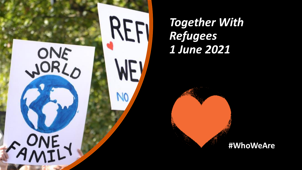

*Together With Refugees 1 June 2021*

#### **#WhoWeAre**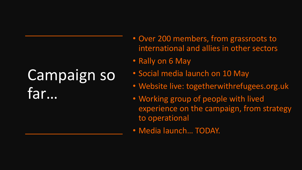# Campaign so far…

- Over 200 members, from grassroots to international and allies in other sectors
- Rally on 6 May
- Social media launch on 10 May
- Website live: togetherwithrefugees.org.uk
- Working group of people with lived experience on the campaign, from strategy to operational
- Media launch… TODAY.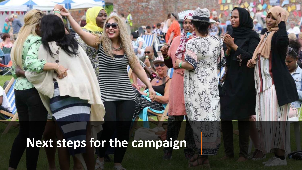**Next steps for the campaign**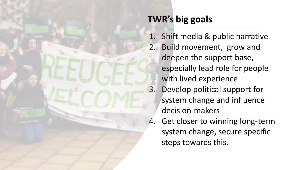### **TWR's big goals**

1. Shift media & public narrative 2. Build movement, grow and deepen the support base, especially lead role for people with lived experience 3. Develop political support for system change and influence decision-makers 4. Get closer to winning long-term system change, secure specific steps towards this.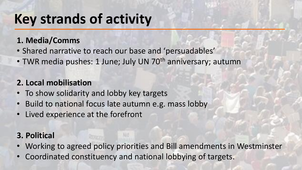### **Key strands of activity**

#### **1. Media/Comms**

- Shared narrative to reach our base and 'persuadables'
- TWR media pushes: 1 June; July UN 70<sup>th</sup> anniversary; autumn

#### **2. Local mobilisation**

- To show solidarity and lobby key targets
- Build to national focus late autumn e.g. mass lobby
- Lived experience at the forefront

#### **3. Political**

- Working to agreed policy priorities and Bill amendments in Westminster
- Coordinated constituency and national lobbying of targets.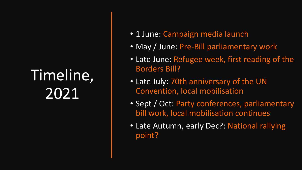## Timeline, 2021

- 1 June: Campaign media launch
- May / June: Pre-Bill parliamentary work
- Late June: Refugee week, first reading of the Borders Bill?
- Late July: 70th anniversary of the UN Convention, local mobilisation
- Sept / Oct: Party conferences, parliamentary bill work, local mobilisation continues
- Late Autumn, early Dec?: National rallying point?